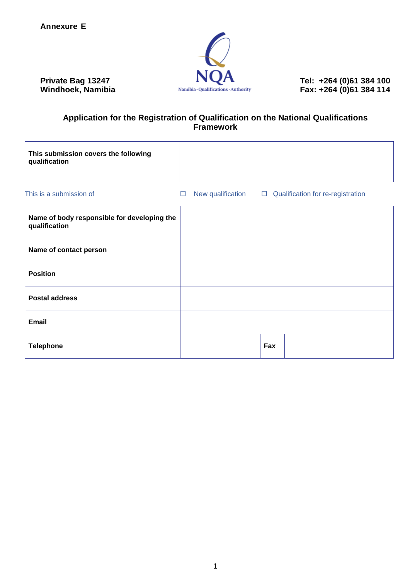

**Windhoek, Namibia Fax: +264 (0)61 384 114**

## **Application for the Registration of Qualification on the National Qualifications Framework**

| This submission covers the following<br>qualification        |                                                                         |
|--------------------------------------------------------------|-------------------------------------------------------------------------|
| This is a submission of                                      | New qualification<br>$\Box$ Qualification for re-registration<br>$\Box$ |
| Name of body responsible for developing the<br>qualification |                                                                         |
| Name of contact person                                       |                                                                         |
| <b>Position</b>                                              |                                                                         |
| <b>Postal address</b>                                        |                                                                         |
| <b>Email</b>                                                 |                                                                         |
| <b>Telephone</b>                                             | Fax                                                                     |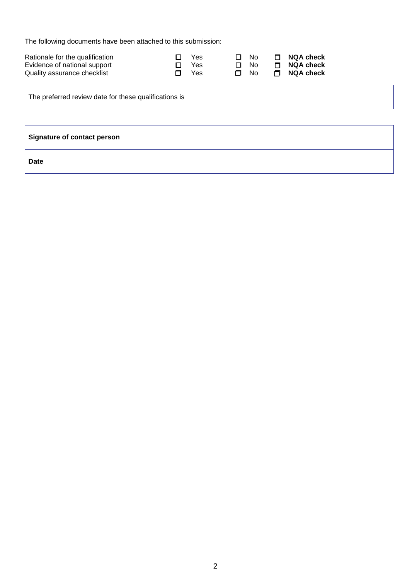The following documents have been attached to this submission:

|                                                       | Yes | П<br>П | No.<br>No | σ<br>Ω | <b>NQA check</b><br><b>NQA check</b> |  |
|-------------------------------------------------------|-----|--------|-----------|--------|--------------------------------------|--|
| The preferred review date for these qualifications is |     |        |           |        |                                      |  |
|                                                       |     |        |           |        |                                      |  |
|                                                       |     |        |           |        |                                      |  |
|                                                       |     |        |           |        |                                      |  |
|                                                       |     |        |           |        |                                      |  |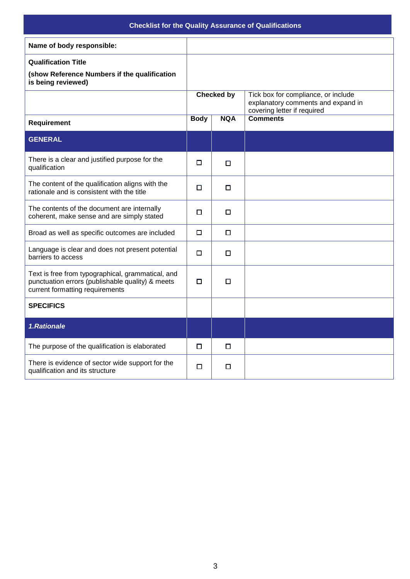| <b>Checklist for the Quality Assurance of Qualifications</b>                                                                             |                   |            |                                                                                                          |  |  |  |
|------------------------------------------------------------------------------------------------------------------------------------------|-------------------|------------|----------------------------------------------------------------------------------------------------------|--|--|--|
| Name of body responsible:                                                                                                                |                   |            |                                                                                                          |  |  |  |
| <b>Qualification Title</b><br>(show Reference Numbers if the qualification<br>is being reviewed)                                         |                   |            |                                                                                                          |  |  |  |
|                                                                                                                                          | <b>Checked by</b> |            | Tick box for compliance, or include<br>explanatory comments and expand in<br>covering letter if required |  |  |  |
| Requirement                                                                                                                              | <b>Body</b>       | <b>NQA</b> | <b>Comments</b>                                                                                          |  |  |  |
| <b>GENERAL</b>                                                                                                                           |                   |            |                                                                                                          |  |  |  |
| There is a clear and justified purpose for the<br>qualification                                                                          | □                 | □          |                                                                                                          |  |  |  |
| The content of the qualification aligns with the<br>rationale and is consistent with the title                                           | □                 | □          |                                                                                                          |  |  |  |
| The contents of the document are internally<br>coherent, make sense and are simply stated                                                | □                 | $\Box$     |                                                                                                          |  |  |  |
| Broad as well as specific outcomes are included                                                                                          | □                 | $\Box$     |                                                                                                          |  |  |  |
| Language is clear and does not present potential<br>barriers to access                                                                   | □                 | $\Box$     |                                                                                                          |  |  |  |
| Text is free from typographical, grammatical, and<br>punctuation errors (publishable quality) & meets<br>current formatting requirements | $\Box$            | $\Box$     |                                                                                                          |  |  |  |
| <b>SPECIFICS</b>                                                                                                                         |                   |            |                                                                                                          |  |  |  |
| 1.Rationale                                                                                                                              |                   |            |                                                                                                          |  |  |  |
| The purpose of the qualification is elaborated                                                                                           | $\Box$            | $\Box$     |                                                                                                          |  |  |  |
| There is evidence of sector wide support for the<br>qualification and its structure                                                      | 0                 | $\Box$     |                                                                                                          |  |  |  |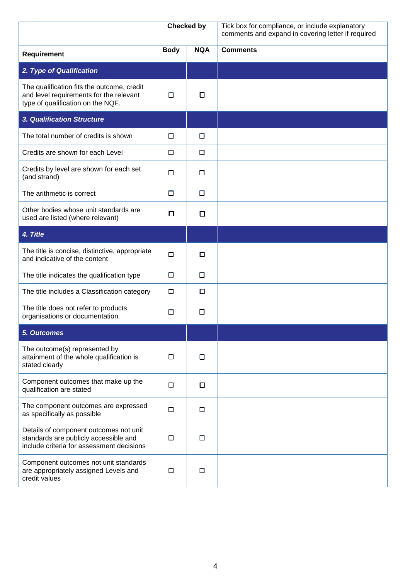|                                                                                                                              | <b>Checked by</b> |            | Tick box for compliance, or include explanatory<br>comments and expand in covering letter if required |
|------------------------------------------------------------------------------------------------------------------------------|-------------------|------------|-------------------------------------------------------------------------------------------------------|
| <b>Requirement</b>                                                                                                           | <b>Body</b>       | <b>NQA</b> | <b>Comments</b>                                                                                       |
| 2. Type of Qualification                                                                                                     |                   |            |                                                                                                       |
| The qualification fits the outcome, credit<br>and level requirements for the relevant<br>type of qualification on the NQF.   | □                 | $\Box$     |                                                                                                       |
| 3. Qualification Structure                                                                                                   |                   |            |                                                                                                       |
| The total number of credits is shown                                                                                         | □                 | $\Box$     |                                                                                                       |
| Credits are shown for each Level                                                                                             | $\Box$            | □          |                                                                                                       |
| Credits by level are shown for each set<br>(and strand)                                                                      | □                 | $\Box$     |                                                                                                       |
| The arithmetic is correct                                                                                                    | $\Box$            | $\Box$     |                                                                                                       |
| Other bodies whose unit standards are<br>used are listed (where relevant)                                                    | □                 | $\Box$     |                                                                                                       |
| 4. Title                                                                                                                     |                   |            |                                                                                                       |
| The title is concise, distinctive, appropriate<br>and indicative of the content                                              | □                 | $\Box$     |                                                                                                       |
| The title indicates the qualification type                                                                                   | $\Box$            | $\Box$     |                                                                                                       |
| The title includes a Classification category                                                                                 | $\Box$            | $\Box$     |                                                                                                       |
| The title does not refer to products,<br>organisations or documentation.                                                     | $\Box$            | $\Box$     |                                                                                                       |
| <b>5. Outcomes</b>                                                                                                           |                   |            |                                                                                                       |
| The outcome(s) represented by<br>attainment of the whole qualification is<br>stated clearly                                  | □                 | $\Box$     |                                                                                                       |
| Component outcomes that make up the<br>qualification are stated                                                              | □                 | $\Box$     |                                                                                                       |
| The component outcomes are expressed<br>as specifically as possible                                                          | $\Box$            | $\Box$     |                                                                                                       |
| Details of component outcomes not unit<br>standards are publicly accessible and<br>include criteria for assessment decisions | $\Box$            | $\Box$     |                                                                                                       |
| Component outcomes not unit standards<br>are appropriately assigned Levels and<br>credit values                              | □                 | $\Box$     |                                                                                                       |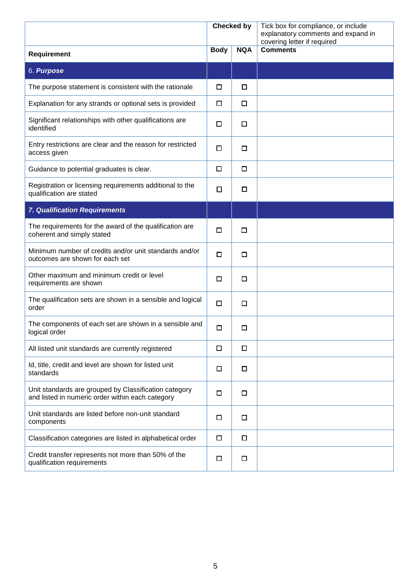|                                                                                                           | Checked by  |            | Tick box for compliance, or include<br>explanatory comments and expand in<br>covering letter if required |
|-----------------------------------------------------------------------------------------------------------|-------------|------------|----------------------------------------------------------------------------------------------------------|
| Requirement                                                                                               | <b>Body</b> | <b>NQA</b> | <b>Comments</b>                                                                                          |
| 6. Purpose                                                                                                |             |            |                                                                                                          |
| The purpose statement is consistent with the rationale                                                    | □           | □          |                                                                                                          |
| Explanation for any strands or optional sets is provided                                                  | □           | □          |                                                                                                          |
| Significant relationships with other qualifications are<br>identified                                     | $\Box$      | □          |                                                                                                          |
| Entry restrictions are clear and the reason for restricted<br>access given                                | □           | □          |                                                                                                          |
| Guidance to potential graduates is clear.                                                                 | □           | $\Box$     |                                                                                                          |
| Registration or licensing requirements additional to the<br>qualification are stated                      | $\Box$      | □          |                                                                                                          |
| 7. Qualification Requirements                                                                             |             |            |                                                                                                          |
| The requirements for the award of the qualification are<br>coherent and simply stated                     | □           | □          |                                                                                                          |
| Minimum number of credits and/or unit standards and/or<br>outcomes are shown for each set                 | $\Box$      | □          |                                                                                                          |
| Other maximum and minimum credit or level<br>requirements are shown                                       | $\Box$      | $\Box$     |                                                                                                          |
| The qualification sets are shown in a sensible and logical<br>order                                       | $\Box$      | □          |                                                                                                          |
| The components of each set are shown in a sensible and<br>logical order                                   | $\Box$      | □          |                                                                                                          |
| All listed unit standards are currently registered                                                        | $\Box$      | $\Box$     |                                                                                                          |
| Id, title, credit and level are shown for listed unit<br>standards                                        | □           | $\Box$     |                                                                                                          |
| Unit standards are grouped by Classification category<br>and listed in numeric order within each category | $\Box$      | $\Box$     |                                                                                                          |
| Unit standards are listed before non-unit standard<br>components                                          | $\Box$      | $\Box$     |                                                                                                          |
| Classification categories are listed in alphabetical order                                                | $\Box$      | $\Box$     |                                                                                                          |
| Credit transfer represents not more than 50% of the<br>qualification requirements                         | $\Box$      | □          |                                                                                                          |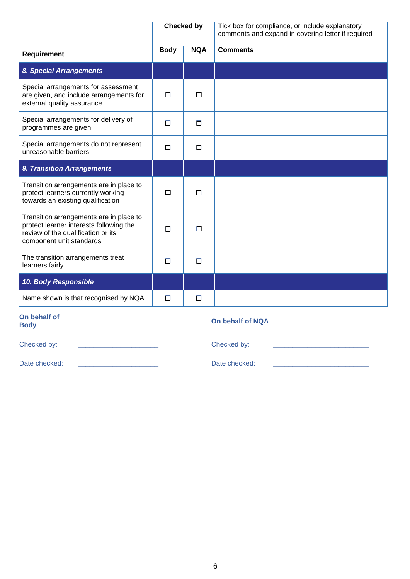|                                                                                                                                                      | <b>Checked by</b> |            | Tick box for compliance, or include explanatory<br>comments and expand in covering letter if required |
|------------------------------------------------------------------------------------------------------------------------------------------------------|-------------------|------------|-------------------------------------------------------------------------------------------------------|
| <b>Requirement</b>                                                                                                                                   | <b>Body</b>       | <b>NQA</b> | <b>Comments</b>                                                                                       |
| 8. Special Arrangements                                                                                                                              |                   |            |                                                                                                       |
| Special arrangements for assessment<br>are given, and include arrangements for<br>external quality assurance                                         | $\Box$            | □          |                                                                                                       |
| Special arrangements for delivery of<br>programmes are given                                                                                         | $\Box$            | □          |                                                                                                       |
| Special arrangements do not represent<br>unreasonable barriers                                                                                       | П                 | $\Box$     |                                                                                                       |
| 9. Transition Arrangements                                                                                                                           |                   |            |                                                                                                       |
| Transition arrangements are in place to<br>protect learners currently working<br>towards an existing qualification                                   | □                 | $\Box$     |                                                                                                       |
| Transition arrangements are in place to<br>protect learner interests following the<br>review of the qualification or its<br>component unit standards | $\Box$            | $\Box$     |                                                                                                       |
| The transition arrangements treat<br>learners fairly                                                                                                 | □                 | $\Box$     |                                                                                                       |
| 10. Body Responsible                                                                                                                                 |                   |            |                                                                                                       |
| Name shown is that recognised by NQA                                                                                                                 | □                 | □          |                                                                                                       |

# **On behalf of**

**Body On behalf of NQA**

Checked by: \_\_\_\_\_\_\_\_\_\_\_\_\_\_\_\_\_\_\_\_\_ Checked by: \_\_\_\_\_\_\_\_\_\_\_\_\_\_\_\_\_\_\_\_\_\_\_\_\_

Date checked: \_\_\_\_\_\_\_\_\_\_\_\_\_\_\_\_\_\_\_\_\_ Date checked: \_\_\_\_\_\_\_\_\_\_\_\_\_\_\_\_\_\_\_\_\_\_\_\_\_